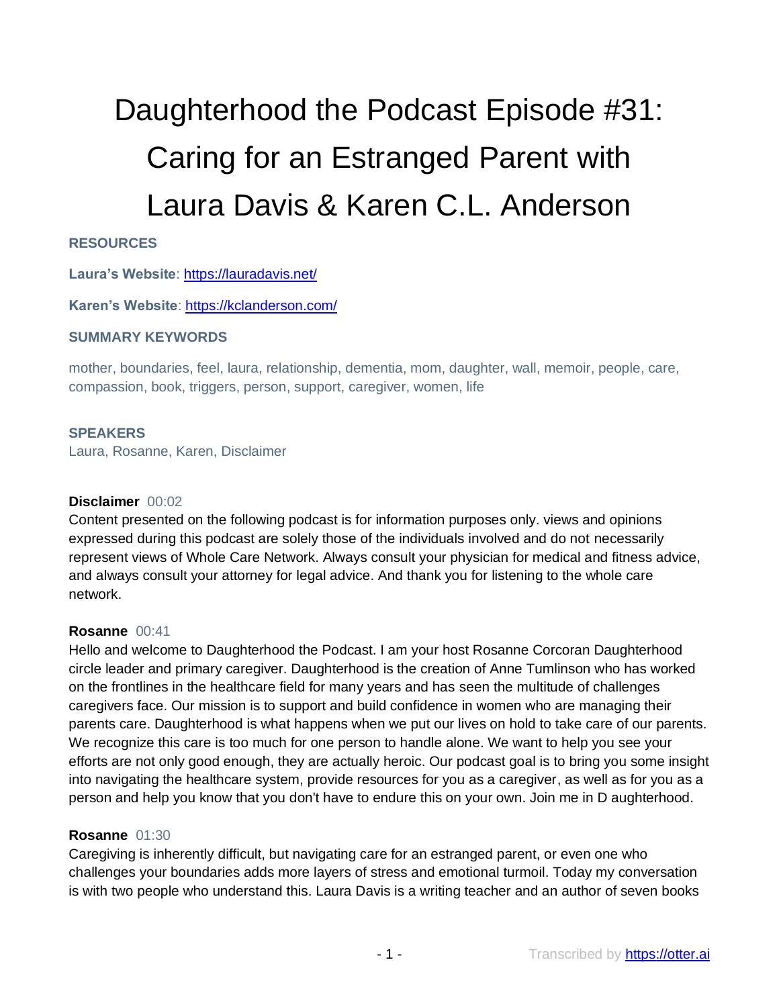# Daughterhood the Podcast Episode #31: Caring for an Estranged Parent with Laura Davis & Karen C.L. Anderson

# **RESOURCES**

**Laura's Website**:<https://lauradavis.net/>

**Karen's Website**:<https://kclanderson.com/>

#### **SUMMARY KEYWORDS**

mother, boundaries, feel, laura, relationship, dementia, mom, daughter, wall, memoir, people, care, compassion, book, triggers, person, support, caregiver, women, life

#### **SPEAKERS**

Laura, Rosanne, Karen, Disclaimer

#### **Disclaimer** 00:02

Content presented on the following podcast is for information purposes only. views and opinions expressed during this podcast are solely those of the individuals involved and do not necessarily represent views of Whole Care Network. Always consult your physician for medical and fitness advice, and always consult your attorney for legal advice. And thank you for listening to the whole care network.

#### **Rosanne** 00:41

Hello and welcome to Daughterhood the Podcast. I am your host Rosanne Corcoran Daughterhood circle leader and primary caregiver. Daughterhood is the creation of Anne Tumlinson who has worked on the frontlines in the healthcare field for many years and has seen the multitude of challenges caregivers face. Our mission is to support and build confidence in women who are managing their parents care. Daughterhood is what happens when we put our lives on hold to take care of our parents. We recognize this care is too much for one person to handle alone. We want to help you see your efforts are not only good enough, they are actually heroic. Our podcast goal is to bring you some insight into navigating the healthcare system, provide resources for you as a caregiver, as well as for you as a person and help you know that you don't have to endure this on your own. Join me in D aughterhood.

#### **Rosanne** 01:30

Caregiving is inherently difficult, but navigating care for an estranged parent, or even one who challenges your boundaries adds more layers of stress and emotional turmoil. Today my conversation is with two people who understand this. Laura Davis is a writing teacher and an author of seven books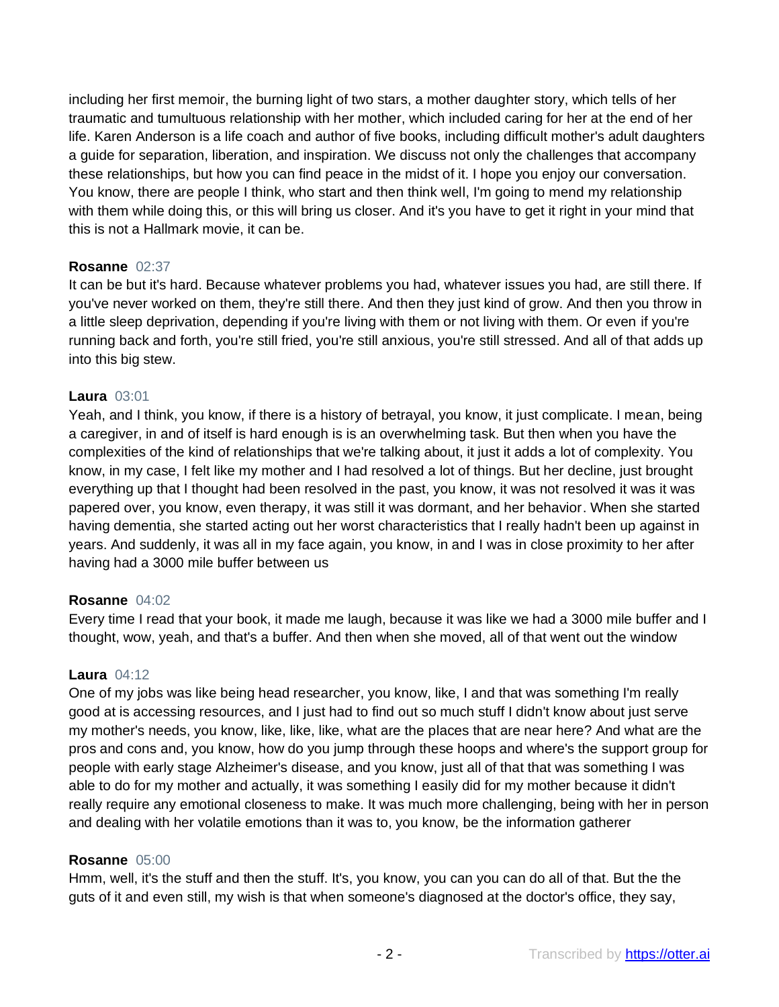including her first memoir, the burning light of two stars, a mother daughter story, which tells of her traumatic and tumultuous relationship with her mother, which included caring for her at the end of her life. Karen Anderson is a life coach and author of five books, including difficult mother's adult daughters a guide for separation, liberation, and inspiration. We discuss not only the challenges that accompany these relationships, but how you can find peace in the midst of it. I hope you enjoy our conversation. You know, there are people I think, who start and then think well, I'm going to mend my relationship with them while doing this, or this will bring us closer. And it's you have to get it right in your mind that this is not a Hallmark movie, it can be.

## **Rosanne** 02:37

It can be but it's hard. Because whatever problems you had, whatever issues you had, are still there. If you've never worked on them, they're still there. And then they just kind of grow. And then you throw in a little sleep deprivation, depending if you're living with them or not living with them. Or even if you're running back and forth, you're still fried, you're still anxious, you're still stressed. And all of that adds up into this big stew.

## **Laura** 03:01

Yeah, and I think, you know, if there is a history of betrayal, you know, it just complicate. I mean, being a caregiver, in and of itself is hard enough is is an overwhelming task. But then when you have the complexities of the kind of relationships that we're talking about, it just it adds a lot of complexity. You know, in my case, I felt like my mother and I had resolved a lot of things. But her decline, just brought everything up that I thought had been resolved in the past, you know, it was not resolved it was it was papered over, you know, even therapy, it was still it was dormant, and her behavior. When she started having dementia, she started acting out her worst characteristics that I really hadn't been up against in years. And suddenly, it was all in my face again, you know, in and I was in close proximity to her after having had a 3000 mile buffer between us

#### **Rosanne** 04:02

Every time I read that your book, it made me laugh, because it was like we had a 3000 mile buffer and I thought, wow, yeah, and that's a buffer. And then when she moved, all of that went out the window

#### **Laura** 04:12

One of my jobs was like being head researcher, you know, like, I and that was something I'm really good at is accessing resources, and I just had to find out so much stuff I didn't know about just serve my mother's needs, you know, like, like, like, what are the places that are near here? And what are the pros and cons and, you know, how do you jump through these hoops and where's the support group for people with early stage Alzheimer's disease, and you know, just all of that that was something I was able to do for my mother and actually, it was something I easily did for my mother because it didn't really require any emotional closeness to make. It was much more challenging, being with her in person and dealing with her volatile emotions than it was to, you know, be the information gatherer

#### **Rosanne** 05:00

Hmm, well, it's the stuff and then the stuff. It's, you know, you can you can do all of that. But the the guts of it and even still, my wish is that when someone's diagnosed at the doctor's office, they say,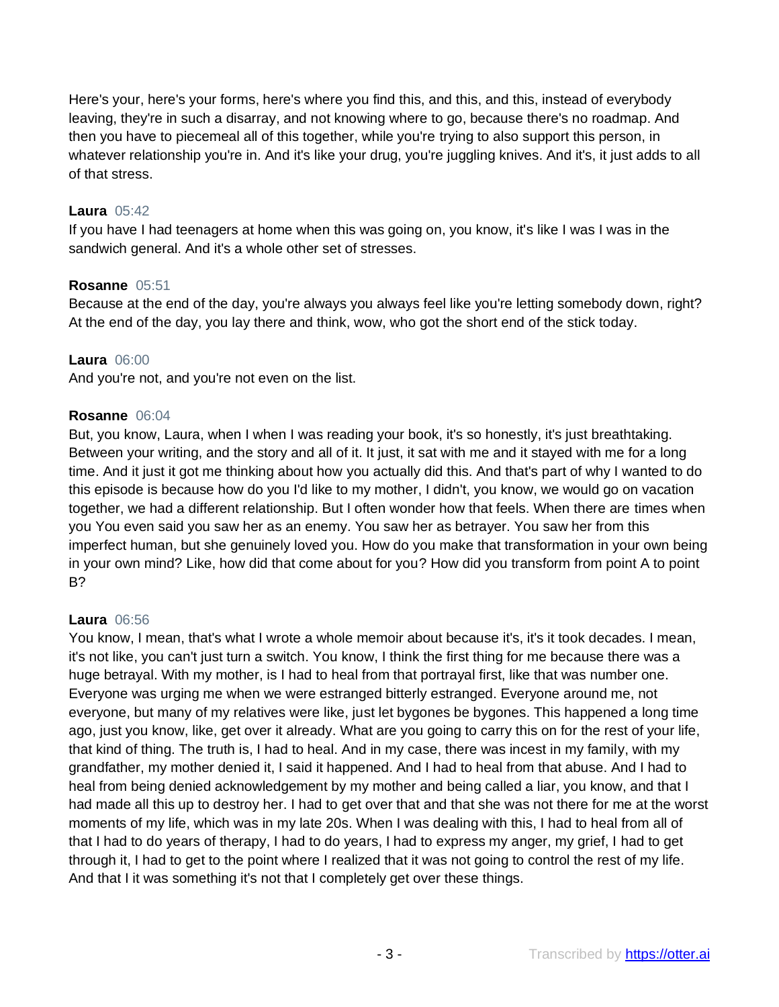Here's your, here's your forms, here's where you find this, and this, and this, instead of everybody leaving, they're in such a disarray, and not knowing where to go, because there's no roadmap. And then you have to piecemeal all of this together, while you're trying to also support this person, in whatever relationship you're in. And it's like your drug, you're juggling knives. And it's, it just adds to all of that stress.

## **Laura** 05:42

If you have I had teenagers at home when this was going on, you know, it's like I was I was in the sandwich general. And it's a whole other set of stresses.

#### **Rosanne** 05:51

Because at the end of the day, you're always you always feel like you're letting somebody down, right? At the end of the day, you lay there and think, wow, who got the short end of the stick today.

#### **Laura** 06:00

And you're not, and you're not even on the list.

#### **Rosanne** 06:04

But, you know, Laura, when I when I was reading your book, it's so honestly, it's just breathtaking. Between your writing, and the story and all of it. It just, it sat with me and it stayed with me for a long time. And it just it got me thinking about how you actually did this. And that's part of why I wanted to do this episode is because how do you I'd like to my mother, I didn't, you know, we would go on vacation together, we had a different relationship. But I often wonder how that feels. When there are times when you You even said you saw her as an enemy. You saw her as betrayer. You saw her from this imperfect human, but she genuinely loved you. How do you make that transformation in your own being in your own mind? Like, how did that come about for you? How did you transform from point A to point B?

#### **Laura** 06:56

You know, I mean, that's what I wrote a whole memoir about because it's, it's it took decades. I mean, it's not like, you can't just turn a switch. You know, I think the first thing for me because there was a huge betrayal. With my mother, is I had to heal from that portrayal first, like that was number one. Everyone was urging me when we were estranged bitterly estranged. Everyone around me, not everyone, but many of my relatives were like, just let bygones be bygones. This happened a long time ago, just you know, like, get over it already. What are you going to carry this on for the rest of your life, that kind of thing. The truth is, I had to heal. And in my case, there was incest in my family, with my grandfather, my mother denied it, I said it happened. And I had to heal from that abuse. And I had to heal from being denied acknowledgement by my mother and being called a liar, you know, and that I had made all this up to destroy her. I had to get over that and that she was not there for me at the worst moments of my life, which was in my late 20s. When I was dealing with this, I had to heal from all of that I had to do years of therapy, I had to do years, I had to express my anger, my grief, I had to get through it, I had to get to the point where I realized that it was not going to control the rest of my life. And that I it was something it's not that I completely get over these things.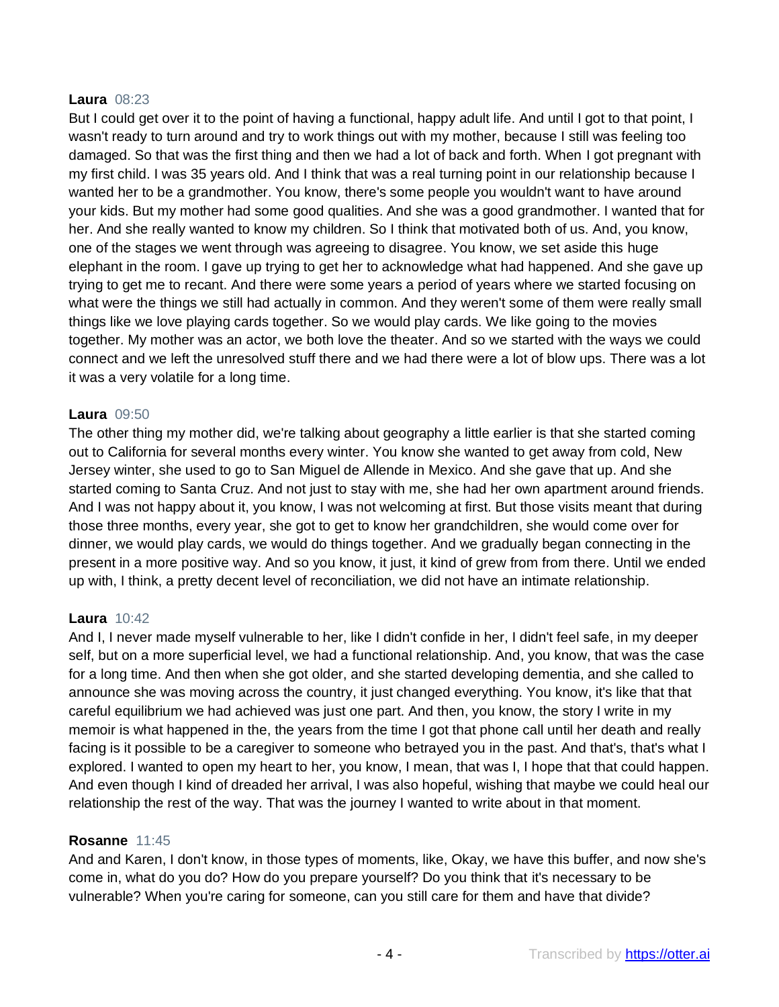#### **Laura** 08:23

But I could get over it to the point of having a functional, happy adult life. And until I got to that point, I wasn't ready to turn around and try to work things out with my mother, because I still was feeling too damaged. So that was the first thing and then we had a lot of back and forth. When I got pregnant with my first child. I was 35 years old. And I think that was a real turning point in our relationship because I wanted her to be a grandmother. You know, there's some people you wouldn't want to have around your kids. But my mother had some good qualities. And she was a good grandmother. I wanted that for her. And she really wanted to know my children. So I think that motivated both of us. And, you know, one of the stages we went through was agreeing to disagree. You know, we set aside this huge elephant in the room. I gave up trying to get her to acknowledge what had happened. And she gave up trying to get me to recant. And there were some years a period of years where we started focusing on what were the things we still had actually in common. And they weren't some of them were really small things like we love playing cards together. So we would play cards. We like going to the movies together. My mother was an actor, we both love the theater. And so we started with the ways we could connect and we left the unresolved stuff there and we had there were a lot of blow ups. There was a lot it was a very volatile for a long time.

#### **Laura** 09:50

The other thing my mother did, we're talking about geography a little earlier is that she started coming out to California for several months every winter. You know she wanted to get away from cold, New Jersey winter, she used to go to San Miguel de Allende in Mexico. And she gave that up. And she started coming to Santa Cruz. And not just to stay with me, she had her own apartment around friends. And I was not happy about it, you know, I was not welcoming at first. But those visits meant that during those three months, every year, she got to get to know her grandchildren, she would come over for dinner, we would play cards, we would do things together. And we gradually began connecting in the present in a more positive way. And so you know, it just, it kind of grew from from there. Until we ended up with, I think, a pretty decent level of reconciliation, we did not have an intimate relationship.

#### **Laura** 10:42

And I, I never made myself vulnerable to her, like I didn't confide in her, I didn't feel safe, in my deeper self, but on a more superficial level, we had a functional relationship. And, you know, that was the case for a long time. And then when she got older, and she started developing dementia, and she called to announce she was moving across the country, it just changed everything. You know, it's like that that careful equilibrium we had achieved was just one part. And then, you know, the story I write in my memoir is what happened in the, the years from the time I got that phone call until her death and really facing is it possible to be a caregiver to someone who betrayed you in the past. And that's, that's what I explored. I wanted to open my heart to her, you know, I mean, that was I, I hope that that could happen. And even though I kind of dreaded her arrival, I was also hopeful, wishing that maybe we could heal our relationship the rest of the way. That was the journey I wanted to write about in that moment.

#### **Rosanne** 11:45

And and Karen, I don't know, in those types of moments, like, Okay, we have this buffer, and now she's come in, what do you do? How do you prepare yourself? Do you think that it's necessary to be vulnerable? When you're caring for someone, can you still care for them and have that divide?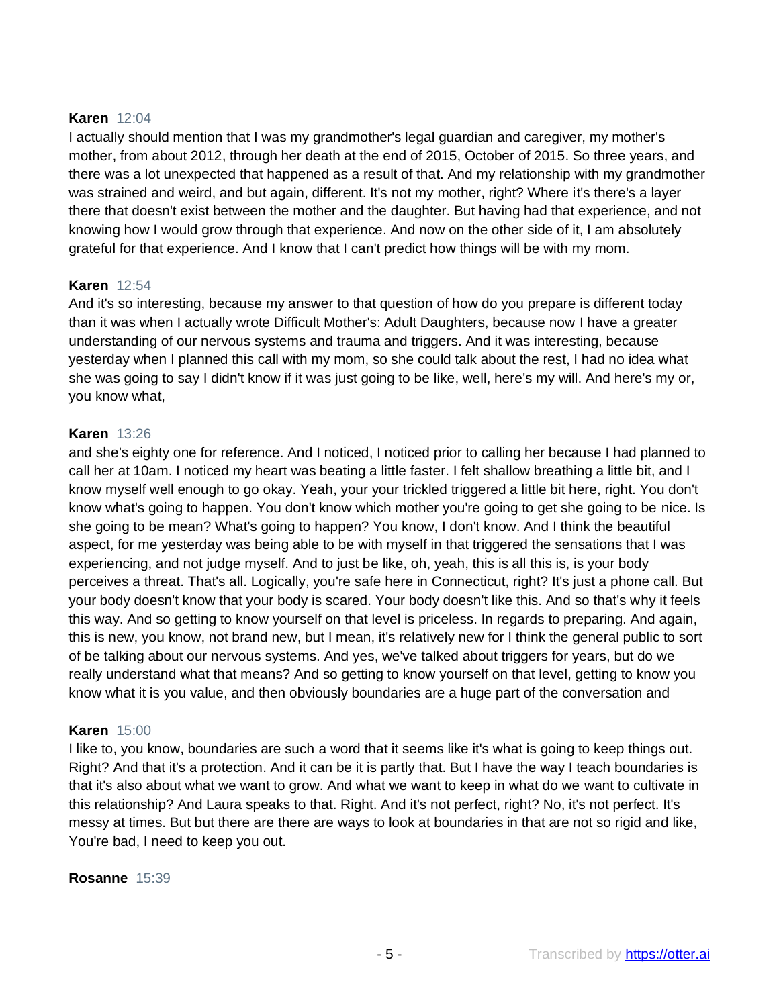## **Karen** 12:04

I actually should mention that I was my grandmother's legal guardian and caregiver, my mother's mother, from about 2012, through her death at the end of 2015, October of 2015. So three years, and there was a lot unexpected that happened as a result of that. And my relationship with my grandmother was strained and weird, and but again, different. It's not my mother, right? Where it's there's a layer there that doesn't exist between the mother and the daughter. But having had that experience, and not knowing how I would grow through that experience. And now on the other side of it, I am absolutely grateful for that experience. And I know that I can't predict how things will be with my mom.

#### **Karen** 12:54

And it's so interesting, because my answer to that question of how do you prepare is different today than it was when I actually wrote Difficult Mother's: Adult Daughters, because now I have a greater understanding of our nervous systems and trauma and triggers. And it was interesting, because yesterday when I planned this call with my mom, so she could talk about the rest, I had no idea what she was going to say I didn't know if it was just going to be like, well, here's my will. And here's my or, you know what,

#### **Karen** 13:26

and she's eighty one for reference. And I noticed, I noticed prior to calling her because I had planned to call her at 10am. I noticed my heart was beating a little faster. I felt shallow breathing a little bit, and I know myself well enough to go okay. Yeah, your your trickled triggered a little bit here, right. You don't know what's going to happen. You don't know which mother you're going to get she going to be nice. Is she going to be mean? What's going to happen? You know, I don't know. And I think the beautiful aspect, for me yesterday was being able to be with myself in that triggered the sensations that I was experiencing, and not judge myself. And to just be like, oh, yeah, this is all this is, is your body perceives a threat. That's all. Logically, you're safe here in Connecticut, right? It's just a phone call. But your body doesn't know that your body is scared. Your body doesn't like this. And so that's why it feels this way. And so getting to know yourself on that level is priceless. In regards to preparing. And again, this is new, you know, not brand new, but I mean, it's relatively new for I think the general public to sort of be talking about our nervous systems. And yes, we've talked about triggers for years, but do we really understand what that means? And so getting to know yourself on that level, getting to know you know what it is you value, and then obviously boundaries are a huge part of the conversation and

#### **Karen** 15:00

I like to, you know, boundaries are such a word that it seems like it's what is going to keep things out. Right? And that it's a protection. And it can be it is partly that. But I have the way I teach boundaries is that it's also about what we want to grow. And what we want to keep in what do we want to cultivate in this relationship? And Laura speaks to that. Right. And it's not perfect, right? No, it's not perfect. It's messy at times. But but there are there are ways to look at boundaries in that are not so rigid and like, You're bad, I need to keep you out.

#### **Rosanne** 15:39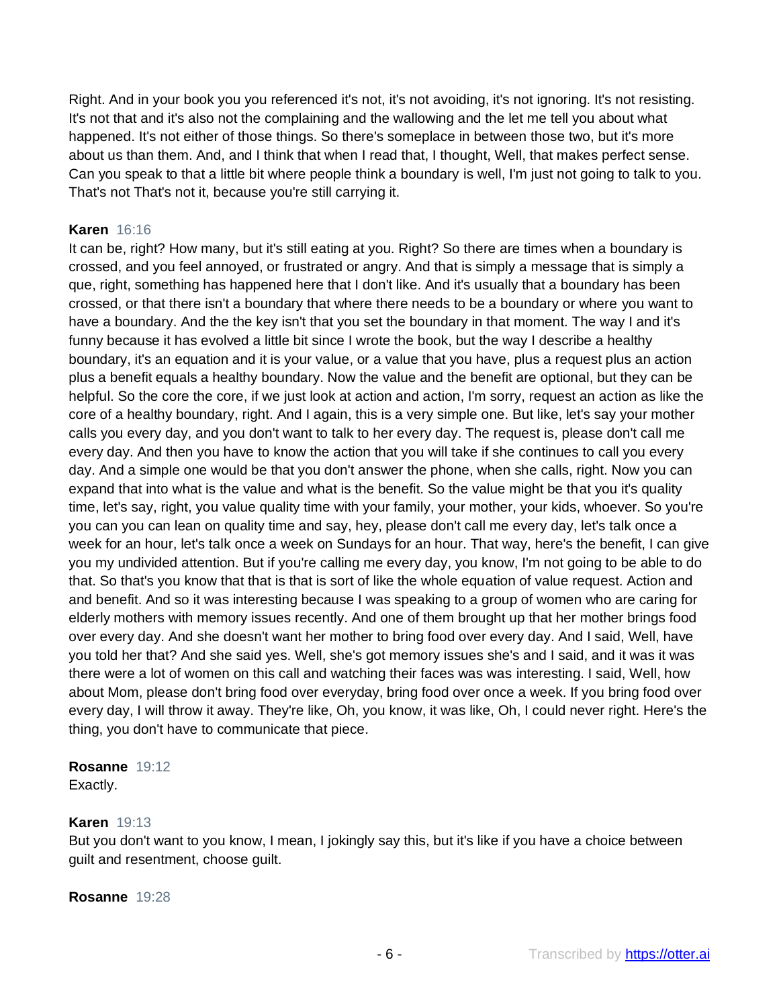Right. And in your book you you referenced it's not, it's not avoiding, it's not ignoring. It's not resisting. It's not that and it's also not the complaining and the wallowing and the let me tell you about what happened. It's not either of those things. So there's someplace in between those two, but it's more about us than them. And, and I think that when I read that, I thought, Well, that makes perfect sense. Can you speak to that a little bit where people think a boundary is well, I'm just not going to talk to you. That's not That's not it, because you're still carrying it.

# **Karen** 16:16

It can be, right? How many, but it's still eating at you. Right? So there are times when a boundary is crossed, and you feel annoyed, or frustrated or angry. And that is simply a message that is simply a que, right, something has happened here that I don't like. And it's usually that a boundary has been crossed, or that there isn't a boundary that where there needs to be a boundary or where you want to have a boundary. And the the key isn't that you set the boundary in that moment. The way I and it's funny because it has evolved a little bit since I wrote the book, but the way I describe a healthy boundary, it's an equation and it is your value, or a value that you have, plus a request plus an action plus a benefit equals a healthy boundary. Now the value and the benefit are optional, but they can be helpful. So the core the core, if we just look at action and action, I'm sorry, request an action as like the core of a healthy boundary, right. And I again, this is a very simple one. But like, let's say your mother calls you every day, and you don't want to talk to her every day. The request is, please don't call me every day. And then you have to know the action that you will take if she continues to call you every day. And a simple one would be that you don't answer the phone, when she calls, right. Now you can expand that into what is the value and what is the benefit. So the value might be that you it's quality time, let's say, right, you value quality time with your family, your mother, your kids, whoever. So you're you can you can lean on quality time and say, hey, please don't call me every day, let's talk once a week for an hour, let's talk once a week on Sundays for an hour. That way, here's the benefit, I can give you my undivided attention. But if you're calling me every day, you know, I'm not going to be able to do that. So that's you know that that is that is sort of like the whole equation of value request. Action and and benefit. And so it was interesting because I was speaking to a group of women who are caring for elderly mothers with memory issues recently. And one of them brought up that her mother brings food over every day. And she doesn't want her mother to bring food over every day. And I said, Well, have you told her that? And she said yes. Well, she's got memory issues she's and I said, and it was it was there were a lot of women on this call and watching their faces was was interesting. I said, Well, how about Mom, please don't bring food over everyday, bring food over once a week. If you bring food over every day, I will throw it away. They're like, Oh, you know, it was like, Oh, I could never right. Here's the thing, you don't have to communicate that piece.

# **Rosanne** 19:12

Exactly.

#### **Karen** 19:13

But you don't want to you know, I mean, I jokingly say this, but it's like if you have a choice between guilt and resentment, choose guilt.

#### **Rosanne** 19:28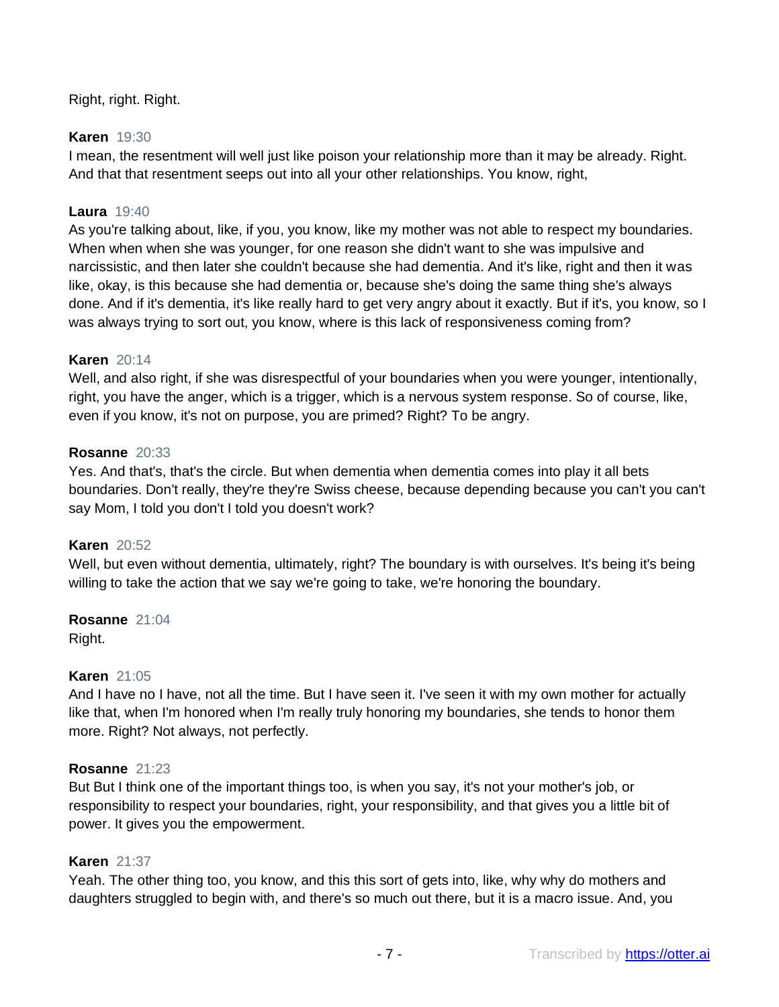Right, right. Right.

## **Karen** 19:30

I mean, the resentment will well just like poison your relationship more than it may be already. Right. And that that resentment seeps out into all your other relationships. You know, right,

## **Laura** 19:40

As you're talking about, like, if you, you know, like my mother was not able to respect my boundaries. When when when she was younger, for one reason she didn't want to she was impulsive and narcissistic, and then later she couldn't because she had dementia. And it's like, right and then it was like, okay, is this because she had dementia or, because she's doing the same thing she's always done. And if it's dementia, it's like really hard to get very angry about it exactly. But if it's, you know, so I was always trying to sort out, you know, where is this lack of responsiveness coming from?

#### **Karen** 20:14

Well, and also right, if she was disrespectful of your boundaries when you were younger, intentionally, right, you have the anger, which is a trigger, which is a nervous system response. So of course, like, even if you know, it's not on purpose, you are primed? Right? To be angry.

## **Rosanne** 20:33

Yes. And that's, that's the circle. But when dementia when dementia comes into play it all bets boundaries. Don't really, they're they're Swiss cheese, because depending because you can't you can't say Mom, I told you don't I told you doesn't work?

### **Karen** 20:52

Well, but even without dementia, ultimately, right? The boundary is with ourselves. It's being it's being willing to take the action that we say we're going to take, we're honoring the boundary.

#### **Rosanne** 21:04 Right.

#### **Karen** 21:05

And I have no I have, not all the time. But I have seen it. I've seen it with my own mother for actually like that, when I'm honored when I'm really truly honoring my boundaries, she tends to honor them more. Right? Not always, not perfectly.

#### **Rosanne** 21:23

But But I think one of the important things too, is when you say, it's not your mother's job, or responsibility to respect your boundaries, right, your responsibility, and that gives you a little bit of power. It gives you the empowerment.

## **Karen** 21:37

Yeah. The other thing too, you know, and this this sort of gets into, like, why why do mothers and daughters struggled to begin with, and there's so much out there, but it is a macro issue. And, you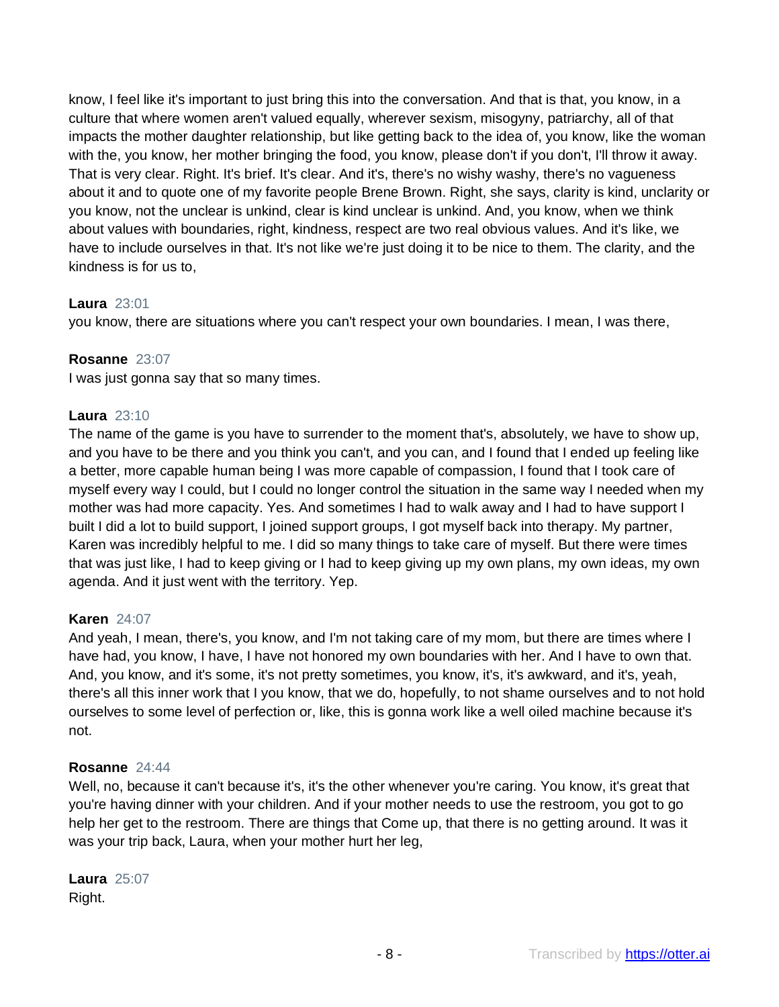know, I feel like it's important to just bring this into the conversation. And that is that, you know, in a culture that where women aren't valued equally, wherever sexism, misogyny, patriarchy, all of that impacts the mother daughter relationship, but like getting back to the idea of, you know, like the woman with the, you know, her mother bringing the food, you know, please don't if you don't, I'll throw it away. That is very clear. Right. It's brief. It's clear. And it's, there's no wishy washy, there's no vagueness about it and to quote one of my favorite people Brene Brown. Right, she says, clarity is kind, unclarity or you know, not the unclear is unkind, clear is kind unclear is unkind. And, you know, when we think about values with boundaries, right, kindness, respect are two real obvious values. And it's like, we have to include ourselves in that. It's not like we're just doing it to be nice to them. The clarity, and the kindness is for us to,

## **Laura** 23:01

you know, there are situations where you can't respect your own boundaries. I mean, I was there,

## **Rosanne** 23:07

I was just gonna say that so many times.

## **Laura** 23:10

The name of the game is you have to surrender to the moment that's, absolutely, we have to show up, and you have to be there and you think you can't, and you can, and I found that I ended up feeling like a better, more capable human being I was more capable of compassion, I found that I took care of myself every way I could, but I could no longer control the situation in the same way I needed when my mother was had more capacity. Yes. And sometimes I had to walk away and I had to have support I built I did a lot to build support, I joined support groups, I got myself back into therapy. My partner, Karen was incredibly helpful to me. I did so many things to take care of myself. But there were times that was just like, I had to keep giving or I had to keep giving up my own plans, my own ideas, my own agenda. And it just went with the territory. Yep.

#### **Karen** 24:07

And yeah, I mean, there's, you know, and I'm not taking care of my mom, but there are times where I have had, you know, I have, I have not honored my own boundaries with her. And I have to own that. And, you know, and it's some, it's not pretty sometimes, you know, it's, it's awkward, and it's, yeah, there's all this inner work that I you know, that we do, hopefully, to not shame ourselves and to not hold ourselves to some level of perfection or, like, this is gonna work like a well oiled machine because it's not.

#### **Rosanne** 24:44

Well, no, because it can't because it's, it's the other whenever you're caring. You know, it's great that you're having dinner with your children. And if your mother needs to use the restroom, you got to go help her get to the restroom. There are things that Come up, that there is no getting around. It was it was your trip back, Laura, when your mother hurt her leg,

**Laura** 25:07 Right.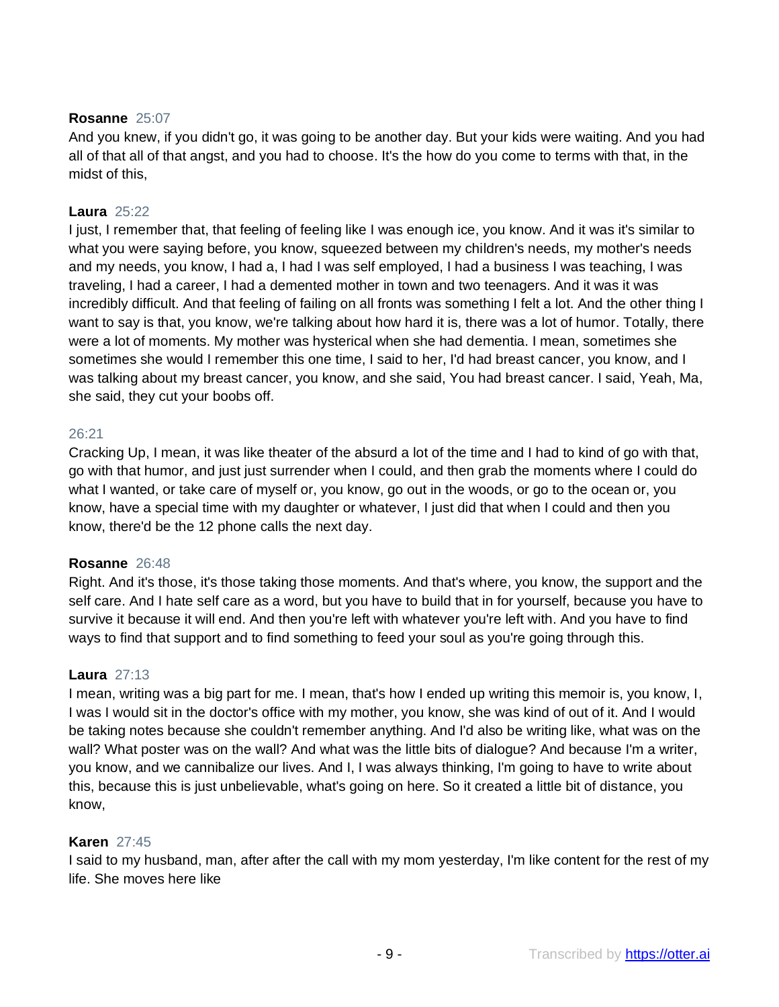# **Rosanne** 25:07

And you knew, if you didn't go, it was going to be another day. But your kids were waiting. And you had all of that all of that angst, and you had to choose. It's the how do you come to terms with that, in the midst of this,

## **Laura** 25:22

I just, I remember that, that feeling of feeling like I was enough ice, you know. And it was it's similar to what you were saying before, you know, squeezed between my children's needs, my mother's needs and my needs, you know, I had a, I had I was self employed, I had a business I was teaching, I was traveling, I had a career, I had a demented mother in town and two teenagers. And it was it was incredibly difficult. And that feeling of failing on all fronts was something I felt a lot. And the other thing I want to say is that, you know, we're talking about how hard it is, there was a lot of humor. Totally, there were a lot of moments. My mother was hysterical when she had dementia. I mean, sometimes she sometimes she would I remember this one time, I said to her, I'd had breast cancer, you know, and I was talking about my breast cancer, you know, and she said, You had breast cancer. I said, Yeah, Ma, she said, they cut your boobs off.

#### 26:21

Cracking Up, I mean, it was like theater of the absurd a lot of the time and I had to kind of go with that, go with that humor, and just just surrender when I could, and then grab the moments where I could do what I wanted, or take care of myself or, you know, go out in the woods, or go to the ocean or, you know, have a special time with my daughter or whatever, I just did that when I could and then you know, there'd be the 12 phone calls the next day.

#### **Rosanne** 26:48

Right. And it's those, it's those taking those moments. And that's where, you know, the support and the self care. And I hate self care as a word, but you have to build that in for yourself, because you have to survive it because it will end. And then you're left with whatever you're left with. And you have to find ways to find that support and to find something to feed your soul as you're going through this.

#### **Laura** 27:13

I mean, writing was a big part for me. I mean, that's how I ended up writing this memoir is, you know, I, I was I would sit in the doctor's office with my mother, you know, she was kind of out of it. And I would be taking notes because she couldn't remember anything. And I'd also be writing like, what was on the wall? What poster was on the wall? And what was the little bits of dialogue? And because I'm a writer, you know, and we cannibalize our lives. And I, I was always thinking, I'm going to have to write about this, because this is just unbelievable, what's going on here. So it created a little bit of distance, you know,

#### **Karen** 27:45

I said to my husband, man, after after the call with my mom yesterday, I'm like content for the rest of my life. She moves here like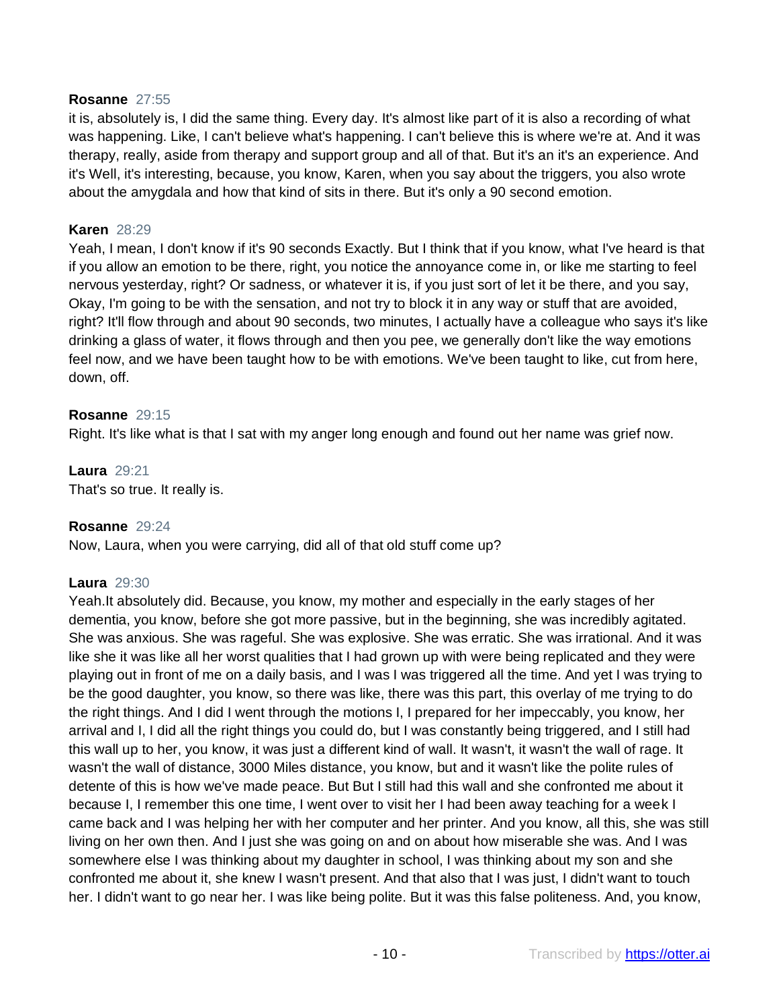#### **Rosanne** 27:55

it is, absolutely is, I did the same thing. Every day. It's almost like part of it is also a recording of what was happening. Like, I can't believe what's happening. I can't believe this is where we're at. And it was therapy, really, aside from therapy and support group and all of that. But it's an it's an experience. And it's Well, it's interesting, because, you know, Karen, when you say about the triggers, you also wrote about the amygdala and how that kind of sits in there. But it's only a 90 second emotion.

#### **Karen** 28:29

Yeah, I mean, I don't know if it's 90 seconds Exactly. But I think that if you know, what I've heard is that if you allow an emotion to be there, right, you notice the annoyance come in, or like me starting to feel nervous yesterday, right? Or sadness, or whatever it is, if you just sort of let it be there, and you say, Okay, I'm going to be with the sensation, and not try to block it in any way or stuff that are avoided, right? It'll flow through and about 90 seconds, two minutes, I actually have a colleague who says it's like drinking a glass of water, it flows through and then you pee, we generally don't like the way emotions feel now, and we have been taught how to be with emotions. We've been taught to like, cut from here, down, off.

#### **Rosanne** 29:15

Right. It's like what is that I sat with my anger long enough and found out her name was grief now.

**Laura** 29:21 That's so true. It really is.

#### **Rosanne** 29:24

Now, Laura, when you were carrying, did all of that old stuff come up?

#### **Laura** 29:30

Yeah.It absolutely did. Because, you know, my mother and especially in the early stages of her dementia, you know, before she got more passive, but in the beginning, she was incredibly agitated. She was anxious. She was rageful. She was explosive. She was erratic. She was irrational. And it was like she it was like all her worst qualities that I had grown up with were being replicated and they were playing out in front of me on a daily basis, and I was I was triggered all the time. And yet I was trying to be the good daughter, you know, so there was like, there was this part, this overlay of me trying to do the right things. And I did I went through the motions I, I prepared for her impeccably, you know, her arrival and I, I did all the right things you could do, but I was constantly being triggered, and I still had this wall up to her, you know, it was just a different kind of wall. It wasn't, it wasn't the wall of rage. It wasn't the wall of distance, 3000 Miles distance, you know, but and it wasn't like the polite rules of detente of this is how we've made peace. But But I still had this wall and she confronted me about it because I, I remember this one time, I went over to visit her I had been away teaching for a week I came back and I was helping her with her computer and her printer. And you know, all this, she was still living on her own then. And I just she was going on and on about how miserable she was. And I was somewhere else I was thinking about my daughter in school, I was thinking about my son and she confronted me about it, she knew I wasn't present. And that also that I was just, I didn't want to touch her. I didn't want to go near her. I was like being polite. But it was this false politeness. And, you know,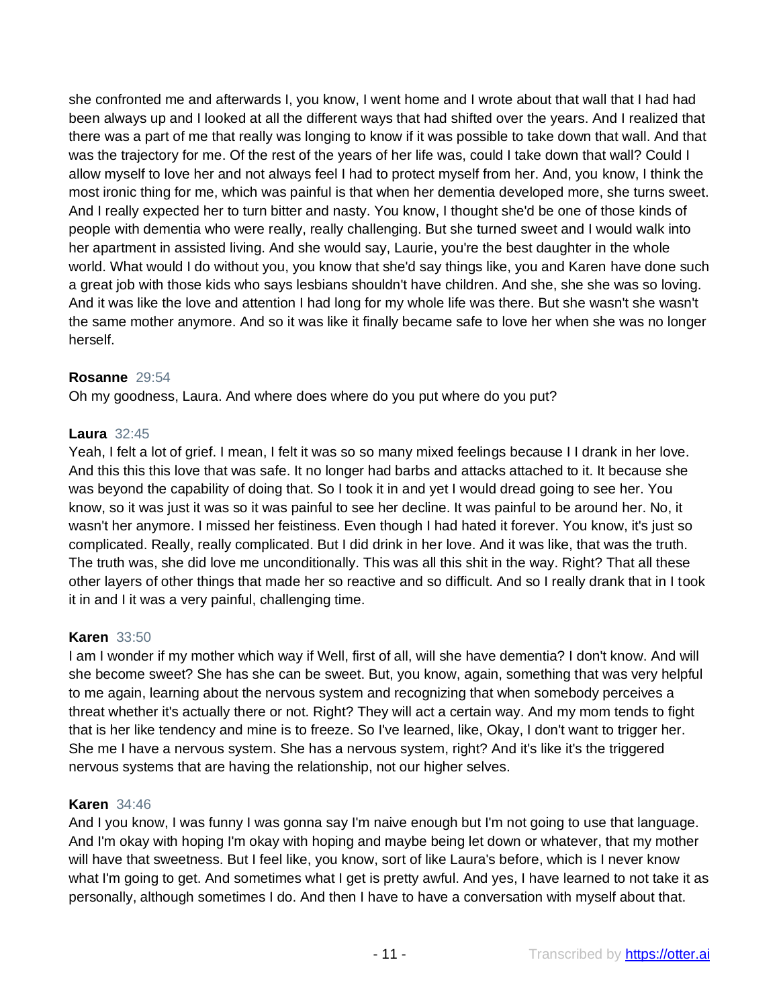she confronted me and afterwards I, you know, I went home and I wrote about that wall that I had had been always up and I looked at all the different ways that had shifted over the years. And I realized that there was a part of me that really was longing to know if it was possible to take down that wall. And that was the trajectory for me. Of the rest of the years of her life was, could I take down that wall? Could I allow myself to love her and not always feel I had to protect myself from her. And, you know, I think the most ironic thing for me, which was painful is that when her dementia developed more, she turns sweet. And I really expected her to turn bitter and nasty. You know, I thought she'd be one of those kinds of people with dementia who were really, really challenging. But she turned sweet and I would walk into her apartment in assisted living. And she would say, Laurie, you're the best daughter in the whole world. What would I do without you, you know that she'd say things like, you and Karen have done such a great job with those kids who says lesbians shouldn't have children. And she, she she was so loving. And it was like the love and attention I had long for my whole life was there. But she wasn't she wasn't the same mother anymore. And so it was like it finally became safe to love her when she was no longer herself.

## **Rosanne** 29:54

Oh my goodness, Laura. And where does where do you put where do you put?

#### **Laura** 32:45

Yeah, I felt a lot of grief. I mean, I felt it was so so many mixed feelings because I I drank in her love. And this this this love that was safe. It no longer had barbs and attacks attached to it. It because she was beyond the capability of doing that. So I took it in and yet I would dread going to see her. You know, so it was just it was so it was painful to see her decline. It was painful to be around her. No, it wasn't her anymore. I missed her feistiness. Even though I had hated it forever. You know, it's just so complicated. Really, really complicated. But I did drink in her love. And it was like, that was the truth. The truth was, she did love me unconditionally. This was all this shit in the way. Right? That all these other layers of other things that made her so reactive and so difficult. And so I really drank that in I took it in and I it was a very painful, challenging time.

#### **Karen** 33:50

I am I wonder if my mother which way if Well, first of all, will she have dementia? I don't know. And will she become sweet? She has she can be sweet. But, you know, again, something that was very helpful to me again, learning about the nervous system and recognizing that when somebody perceives a threat whether it's actually there or not. Right? They will act a certain way. And my mom tends to fight that is her like tendency and mine is to freeze. So I've learned, like, Okay, I don't want to trigger her. She me I have a nervous system. She has a nervous system, right? And it's like it's the triggered nervous systems that are having the relationship, not our higher selves.

#### **Karen** 34:46

And I you know, I was funny I was gonna say I'm naive enough but I'm not going to use that language. And I'm okay with hoping I'm okay with hoping and maybe being let down or whatever, that my mother will have that sweetness. But I feel like, you know, sort of like Laura's before, which is I never know what I'm going to get. And sometimes what I get is pretty awful. And yes, I have learned to not take it as personally, although sometimes I do. And then I have to have a conversation with myself about that.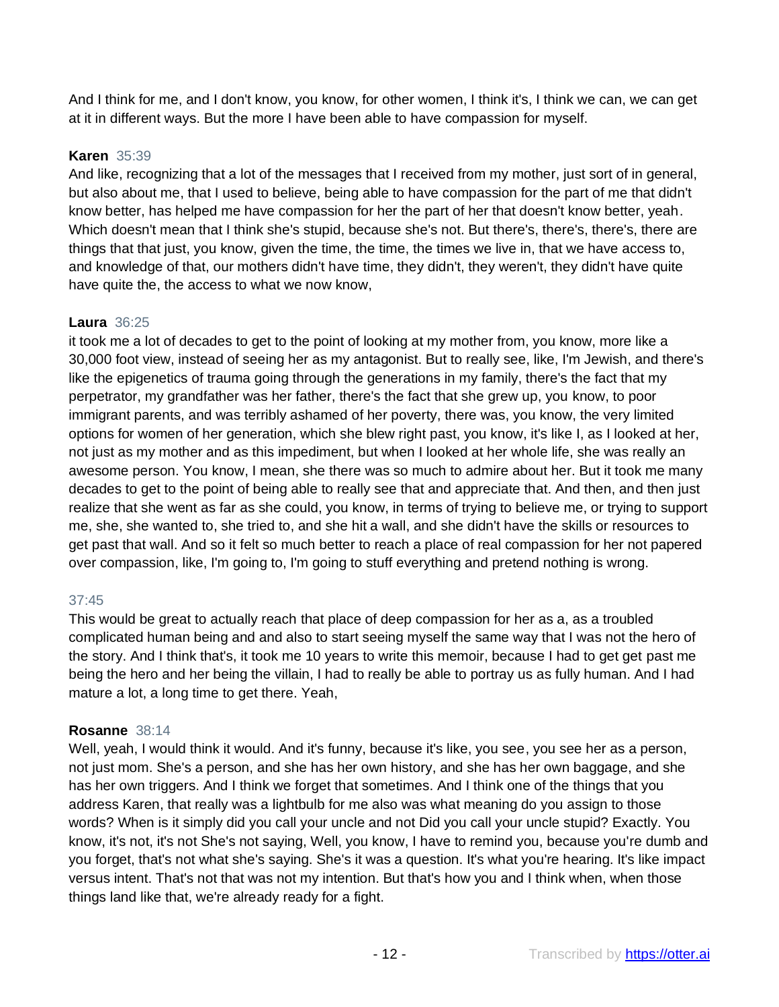And I think for me, and I don't know, you know, for other women, I think it's, I think we can, we can get at it in different ways. But the more I have been able to have compassion for myself.

# **Karen** 35:39

And like, recognizing that a lot of the messages that I received from my mother, just sort of in general, but also about me, that I used to believe, being able to have compassion for the part of me that didn't know better, has helped me have compassion for her the part of her that doesn't know better, yeah. Which doesn't mean that I think she's stupid, because she's not. But there's, there's, there's, there are things that that just, you know, given the time, the time, the times we live in, that we have access to, and knowledge of that, our mothers didn't have time, they didn't, they weren't, they didn't have quite have quite the, the access to what we now know,

# **Laura** 36:25

it took me a lot of decades to get to the point of looking at my mother from, you know, more like a 30,000 foot view, instead of seeing her as my antagonist. But to really see, like, I'm Jewish, and there's like the epigenetics of trauma going through the generations in my family, there's the fact that my perpetrator, my grandfather was her father, there's the fact that she grew up, you know, to poor immigrant parents, and was terribly ashamed of her poverty, there was, you know, the very limited options for women of her generation, which she blew right past, you know, it's like I, as I looked at her, not just as my mother and as this impediment, but when I looked at her whole life, she was really an awesome person. You know, I mean, she there was so much to admire about her. But it took me many decades to get to the point of being able to really see that and appreciate that. And then, and then just realize that she went as far as she could, you know, in terms of trying to believe me, or trying to support me, she, she wanted to, she tried to, and she hit a wall, and she didn't have the skills or resources to get past that wall. And so it felt so much better to reach a place of real compassion for her not papered over compassion, like, I'm going to, I'm going to stuff everything and pretend nothing is wrong.

# 37:45

This would be great to actually reach that place of deep compassion for her as a, as a troubled complicated human being and and also to start seeing myself the same way that I was not the hero of the story. And I think that's, it took me 10 years to write this memoir, because I had to get get past me being the hero and her being the villain, I had to really be able to portray us as fully human. And I had mature a lot, a long time to get there. Yeah,

# **Rosanne** 38:14

Well, yeah, I would think it would. And it's funny, because it's like, you see, you see her as a person, not just mom. She's a person, and she has her own history, and she has her own baggage, and she has her own triggers. And I think we forget that sometimes. And I think one of the things that you address Karen, that really was a lightbulb for me also was what meaning do you assign to those words? When is it simply did you call your uncle and not Did you call your uncle stupid? Exactly. You know, it's not, it's not She's not saying, Well, you know, I have to remind you, because you're dumb and you forget, that's not what she's saying. She's it was a question. It's what you're hearing. It's like impact versus intent. That's not that was not my intention. But that's how you and I think when, when those things land like that, we're already ready for a fight.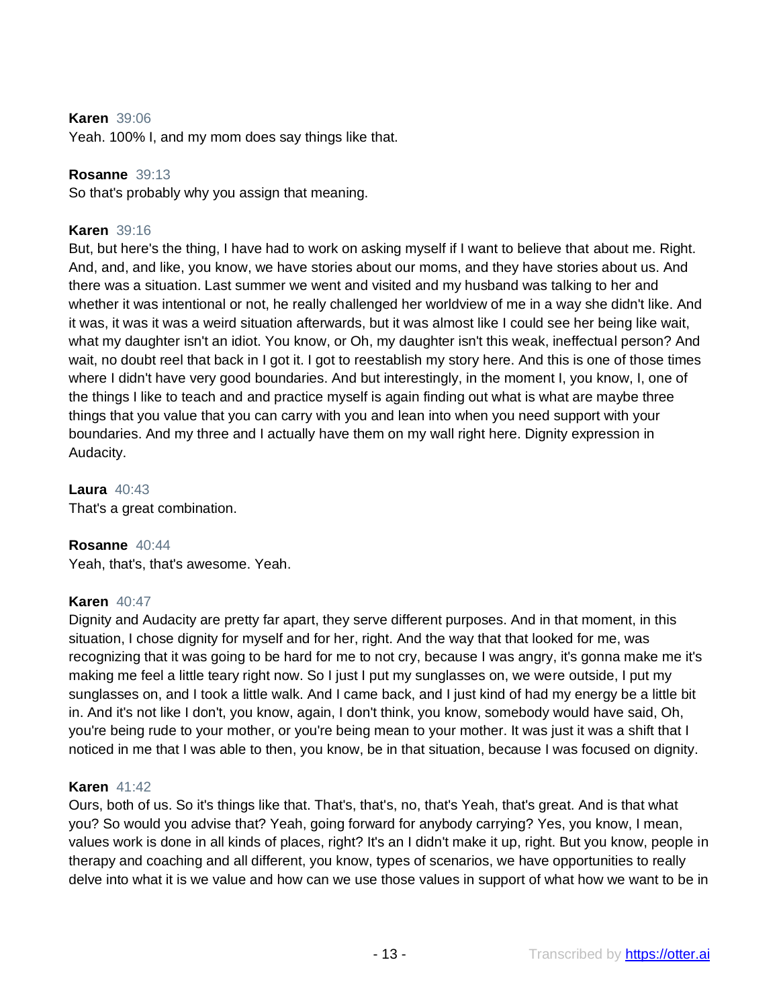## **Karen** 39:06

Yeah. 100% I, and my mom does say things like that.

#### **Rosanne** 39:13

So that's probably why you assign that meaning.

### **Karen** 39:16

But, but here's the thing, I have had to work on asking myself if I want to believe that about me. Right. And, and, and like, you know, we have stories about our moms, and they have stories about us. And there was a situation. Last summer we went and visited and my husband was talking to her and whether it was intentional or not, he really challenged her worldview of me in a way she didn't like. And it was, it was it was a weird situation afterwards, but it was almost like I could see her being like wait, what my daughter isn't an idiot. You know, or Oh, my daughter isn't this weak, ineffectual person? And wait, no doubt reel that back in I got it. I got to reestablish my story here. And this is one of those times where I didn't have very good boundaries. And but interestingly, in the moment I, you know, I, one of the things I like to teach and and practice myself is again finding out what is what are maybe three things that you value that you can carry with you and lean into when you need support with your boundaries. And my three and I actually have them on my wall right here. Dignity expression in Audacity.

**Laura** 40:43 That's a great combination.

**Rosanne** 40:44 Yeah, that's, that's awesome. Yeah.

#### **Karen** 40:47

Dignity and Audacity are pretty far apart, they serve different purposes. And in that moment, in this situation, I chose dignity for myself and for her, right. And the way that that looked for me, was recognizing that it was going to be hard for me to not cry, because I was angry, it's gonna make me it's making me feel a little teary right now. So I just I put my sunglasses on, we were outside, I put my sunglasses on, and I took a little walk. And I came back, and I just kind of had my energy be a little bit in. And it's not like I don't, you know, again, I don't think, you know, somebody would have said, Oh, you're being rude to your mother, or you're being mean to your mother. It was just it was a shift that I noticed in me that I was able to then, you know, be in that situation, because I was focused on dignity.

#### **Karen** 41:42

Ours, both of us. So it's things like that. That's, that's, no, that's Yeah, that's great. And is that what you? So would you advise that? Yeah, going forward for anybody carrying? Yes, you know, I mean, values work is done in all kinds of places, right? It's an I didn't make it up, right. But you know, people in therapy and coaching and all different, you know, types of scenarios, we have opportunities to really delve into what it is we value and how can we use those values in support of what how we want to be in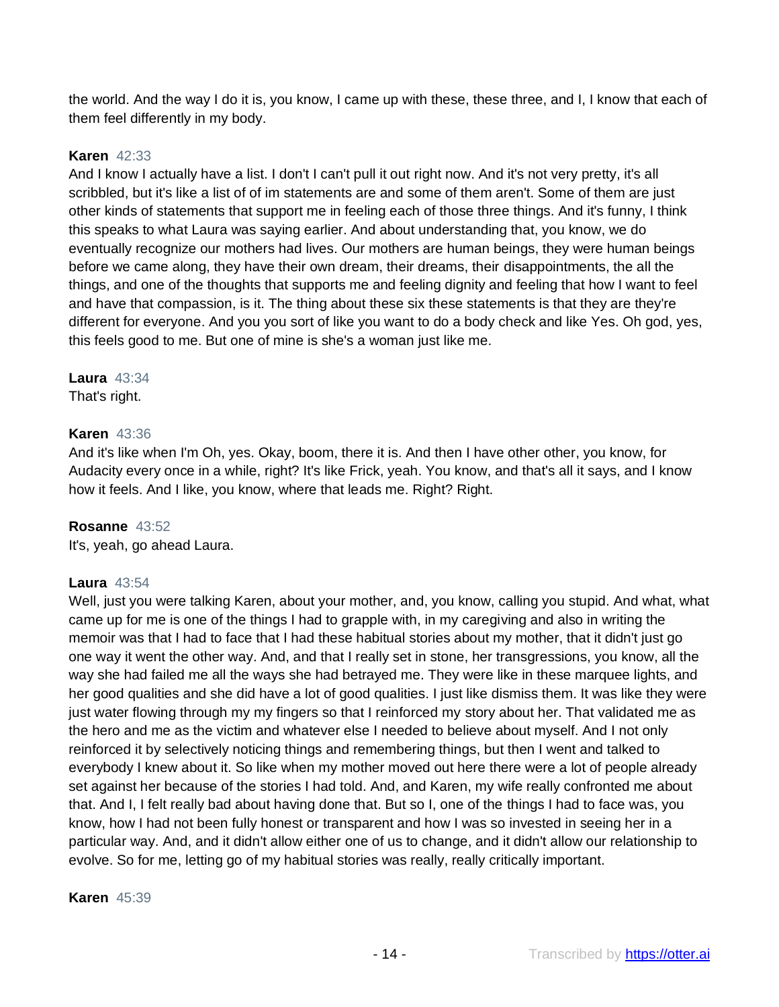the world. And the way I do it is, you know, I came up with these, these three, and I, I know that each of them feel differently in my body.

## **Karen** 42:33

And I know I actually have a list. I don't I can't pull it out right now. And it's not very pretty, it's all scribbled, but it's like a list of of im statements are and some of them aren't. Some of them are just other kinds of statements that support me in feeling each of those three things. And it's funny, I think this speaks to what Laura was saying earlier. And about understanding that, you know, we do eventually recognize our mothers had lives. Our mothers are human beings, they were human beings before we came along, they have their own dream, their dreams, their disappointments, the all the things, and one of the thoughts that supports me and feeling dignity and feeling that how I want to feel and have that compassion, is it. The thing about these six these statements is that they are they're different for everyone. And you you sort of like you want to do a body check and like Yes. Oh god, yes, this feels good to me. But one of mine is she's a woman just like me.

#### **Laura** 43:34

That's right.

## **Karen** 43:36

And it's like when I'm Oh, yes. Okay, boom, there it is. And then I have other other, you know, for Audacity every once in a while, right? It's like Frick, yeah. You know, and that's all it says, and I know how it feels. And I like, you know, where that leads me. Right? Right.

#### **Rosanne** 43:52

It's, yeah, go ahead Laura.

#### **Laura** 43:54

Well, just you were talking Karen, about your mother, and, you know, calling you stupid. And what, what came up for me is one of the things I had to grapple with, in my caregiving and also in writing the memoir was that I had to face that I had these habitual stories about my mother, that it didn't just go one way it went the other way. And, and that I really set in stone, her transgressions, you know, all the way she had failed me all the ways she had betrayed me. They were like in these marquee lights, and her good qualities and she did have a lot of good qualities. I just like dismiss them. It was like they were just water flowing through my my fingers so that I reinforced my story about her. That validated me as the hero and me as the victim and whatever else I needed to believe about myself. And I not only reinforced it by selectively noticing things and remembering things, but then I went and talked to everybody I knew about it. So like when my mother moved out here there were a lot of people already set against her because of the stories I had told. And, and Karen, my wife really confronted me about that. And I, I felt really bad about having done that. But so I, one of the things I had to face was, you know, how I had not been fully honest or transparent and how I was so invested in seeing her in a particular way. And, and it didn't allow either one of us to change, and it didn't allow our relationship to evolve. So for me, letting go of my habitual stories was really, really critically important.

**Karen** 45:39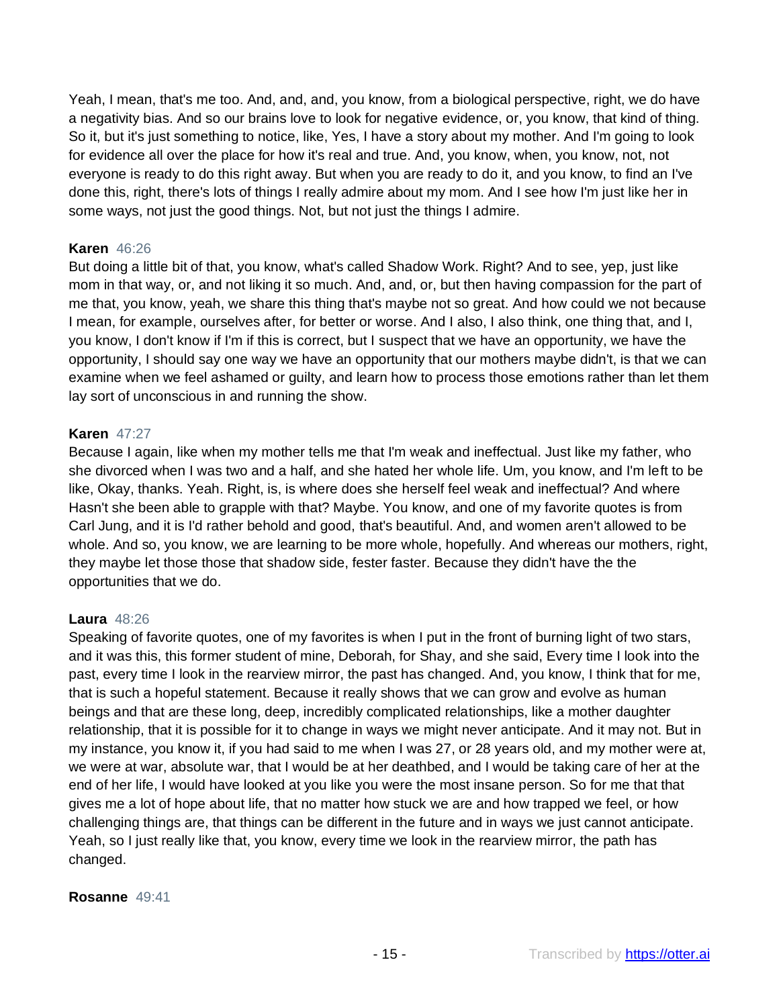Yeah, I mean, that's me too. And, and, and, you know, from a biological perspective, right, we do have a negativity bias. And so our brains love to look for negative evidence, or, you know, that kind of thing. So it, but it's just something to notice, like, Yes, I have a story about my mother. And I'm going to look for evidence all over the place for how it's real and true. And, you know, when, you know, not, not everyone is ready to do this right away. But when you are ready to do it, and you know, to find an I've done this, right, there's lots of things I really admire about my mom. And I see how I'm just like her in some ways, not just the good things. Not, but not just the things I admire.

#### **Karen** 46:26

But doing a little bit of that, you know, what's called Shadow Work. Right? And to see, yep, just like mom in that way, or, and not liking it so much. And, and, or, but then having compassion for the part of me that, you know, yeah, we share this thing that's maybe not so great. And how could we not because I mean, for example, ourselves after, for better or worse. And I also, I also think, one thing that, and I, you know, I don't know if I'm if this is correct, but I suspect that we have an opportunity, we have the opportunity, I should say one way we have an opportunity that our mothers maybe didn't, is that we can examine when we feel ashamed or guilty, and learn how to process those emotions rather than let them lay sort of unconscious in and running the show.

#### **Karen** 47:27

Because I again, like when my mother tells me that I'm weak and ineffectual. Just like my father, who she divorced when I was two and a half, and she hated her whole life. Um, you know, and I'm left to be like, Okay, thanks. Yeah. Right, is, is where does she herself feel weak and ineffectual? And where Hasn't she been able to grapple with that? Maybe. You know, and one of my favorite quotes is from Carl Jung, and it is I'd rather behold and good, that's beautiful. And, and women aren't allowed to be whole. And so, you know, we are learning to be more whole, hopefully. And whereas our mothers, right, they maybe let those those that shadow side, fester faster. Because they didn't have the the opportunities that we do.

#### **Laura** 48:26

Speaking of favorite quotes, one of my favorites is when I put in the front of burning light of two stars, and it was this, this former student of mine, Deborah, for Shay, and she said, Every time I look into the past, every time I look in the rearview mirror, the past has changed. And, you know, I think that for me, that is such a hopeful statement. Because it really shows that we can grow and evolve as human beings and that are these long, deep, incredibly complicated relationships, like a mother daughter relationship, that it is possible for it to change in ways we might never anticipate. And it may not. But in my instance, you know it, if you had said to me when I was 27, or 28 years old, and my mother were at, we were at war, absolute war, that I would be at her deathbed, and I would be taking care of her at the end of her life, I would have looked at you like you were the most insane person. So for me that that gives me a lot of hope about life, that no matter how stuck we are and how trapped we feel, or how challenging things are, that things can be different in the future and in ways we just cannot anticipate. Yeah, so I just really like that, you know, every time we look in the rearview mirror, the path has changed.

#### **Rosanne** 49:41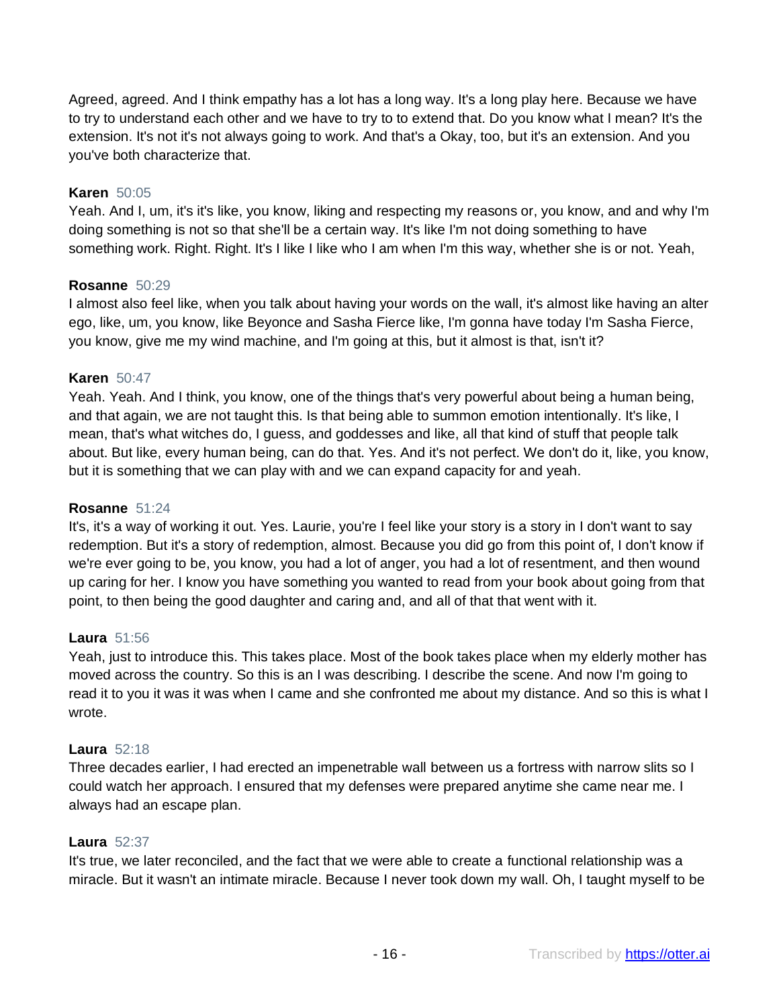Agreed, agreed. And I think empathy has a lot has a long way. It's a long play here. Because we have to try to understand each other and we have to try to to extend that. Do you know what I mean? It's the extension. It's not it's not always going to work. And that's a Okay, too, but it's an extension. And you you've both characterize that.

## **Karen** 50:05

Yeah. And I, um, it's it's like, you know, liking and respecting my reasons or, you know, and and why I'm doing something is not so that she'll be a certain way. It's like I'm not doing something to have something work. Right. Right. It's I like I like who I am when I'm this way, whether she is or not. Yeah,

#### **Rosanne** 50:29

I almost also feel like, when you talk about having your words on the wall, it's almost like having an alter ego, like, um, you know, like Beyonce and Sasha Fierce like, I'm gonna have today I'm Sasha Fierce, you know, give me my wind machine, and I'm going at this, but it almost is that, isn't it?

#### **Karen** 50:47

Yeah. Yeah. And I think, you know, one of the things that's very powerful about being a human being, and that again, we are not taught this. Is that being able to summon emotion intentionally. It's like, I mean, that's what witches do, I guess, and goddesses and like, all that kind of stuff that people talk about. But like, every human being, can do that. Yes. And it's not perfect. We don't do it, like, you know, but it is something that we can play with and we can expand capacity for and yeah.

#### **Rosanne** 51:24

It's, it's a way of working it out. Yes. Laurie, you're I feel like your story is a story in I don't want to say redemption. But it's a story of redemption, almost. Because you did go from this point of, I don't know if we're ever going to be, you know, you had a lot of anger, you had a lot of resentment, and then wound up caring for her. I know you have something you wanted to read from your book about going from that point, to then being the good daughter and caring and, and all of that that went with it.

#### **Laura** 51:56

Yeah, just to introduce this. This takes place. Most of the book takes place when my elderly mother has moved across the country. So this is an I was describing. I describe the scene. And now I'm going to read it to you it was it was when I came and she confronted me about my distance. And so this is what I wrote.

#### **Laura** 52:18

Three decades earlier, I had erected an impenetrable wall between us a fortress with narrow slits so I could watch her approach. I ensured that my defenses were prepared anytime she came near me. I always had an escape plan.

#### **Laura** 52:37

It's true, we later reconciled, and the fact that we were able to create a functional relationship was a miracle. But it wasn't an intimate miracle. Because I never took down my wall. Oh, I taught myself to be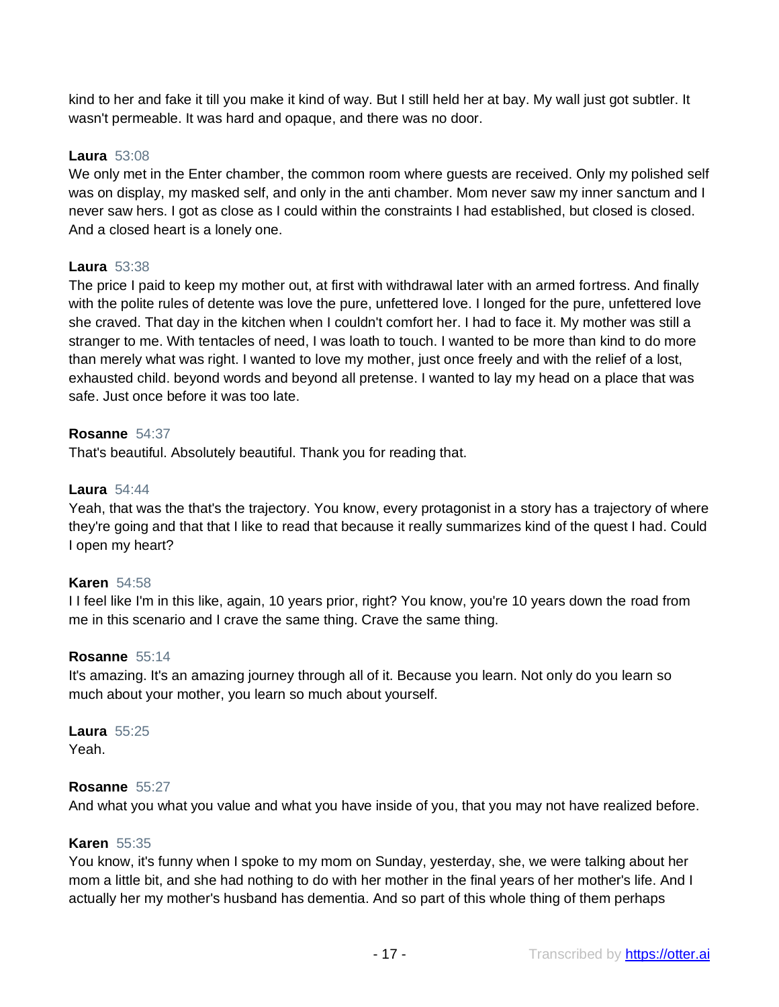kind to her and fake it till you make it kind of way. But I still held her at bay. My wall just got subtler. It wasn't permeable. It was hard and opaque, and there was no door.

## **Laura** 53:08

We only met in the Enter chamber, the common room where guests are received. Only my polished self was on display, my masked self, and only in the anti chamber. Mom never saw my inner sanctum and I never saw hers. I got as close as I could within the constraints I had established, but closed is closed. And a closed heart is a lonely one.

## **Laura** 53:38

The price I paid to keep my mother out, at first with withdrawal later with an armed fortress. And finally with the polite rules of detente was love the pure, unfettered love. I longed for the pure, unfettered love she craved. That day in the kitchen when I couldn't comfort her. I had to face it. My mother was still a stranger to me. With tentacles of need, I was loath to touch. I wanted to be more than kind to do more than merely what was right. I wanted to love my mother, just once freely and with the relief of a lost, exhausted child. beyond words and beyond all pretense. I wanted to lay my head on a place that was safe. Just once before it was too late.

## **Rosanne** 54:37

That's beautiful. Absolutely beautiful. Thank you for reading that.

#### **Laura** 54:44

Yeah, that was the that's the trajectory. You know, every protagonist in a story has a trajectory of where they're going and that that I like to read that because it really summarizes kind of the quest I had. Could I open my heart?

#### **Karen** 54:58

I I feel like I'm in this like, again, 10 years prior, right? You know, you're 10 years down the road from me in this scenario and I crave the same thing. Crave the same thing.

#### **Rosanne** 55:14

It's amazing. It's an amazing journey through all of it. Because you learn. Not only do you learn so much about your mother, you learn so much about yourself.

**Laura** 55:25 Yeah.

#### **Rosanne** 55:27

And what you what you value and what you have inside of you, that you may not have realized before.

#### **Karen** 55:35

You know, it's funny when I spoke to my mom on Sunday, yesterday, she, we were talking about her mom a little bit, and she had nothing to do with her mother in the final years of her mother's life. And I actually her my mother's husband has dementia. And so part of this whole thing of them perhaps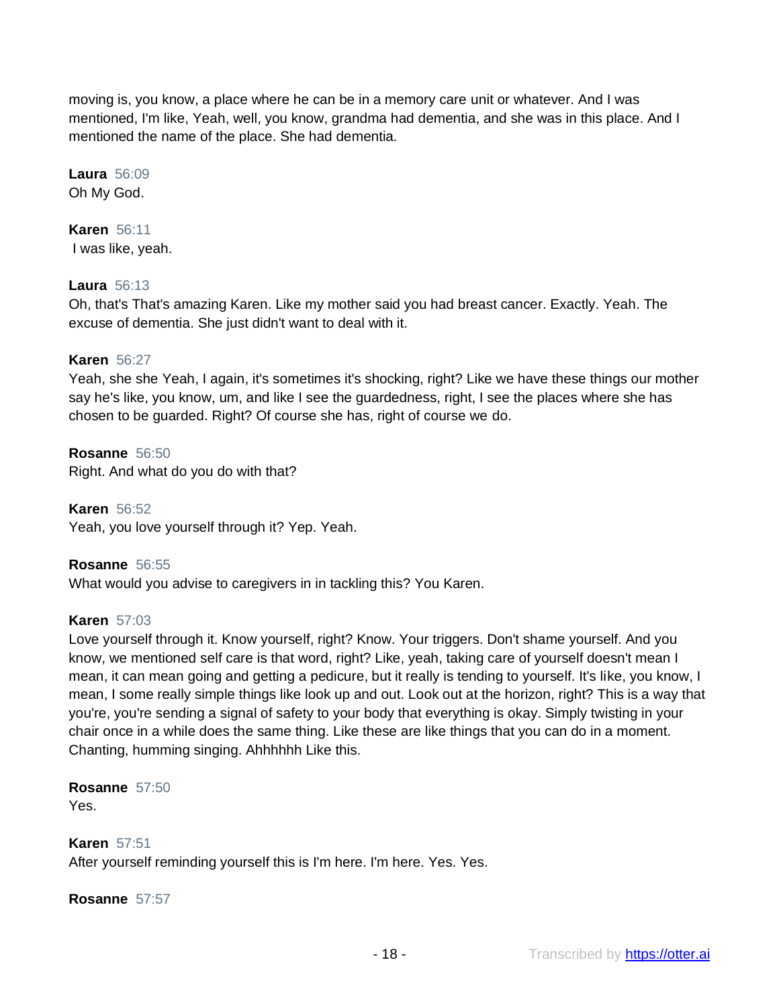moving is, you know, a place where he can be in a memory care unit or whatever. And I was mentioned, I'm like, Yeah, well, you know, grandma had dementia, and she was in this place. And I mentioned the name of the place. She had dementia.

**Laura** 56:09 Oh My God.

**Karen** 56:11 I was like, yeah.

# **Laura** 56:13

Oh, that's That's amazing Karen. Like my mother said you had breast cancer. Exactly. Yeah. The excuse of dementia. She just didn't want to deal with it.

#### **Karen** 56:27

Yeah, she she Yeah, I again, it's sometimes it's shocking, right? Like we have these things our mother say he's like, you know, um, and like I see the guardedness, right, I see the places where she has chosen to be guarded. Right? Of course she has, right of course we do.

**Rosanne** 56:50 Right. And what do you do with that?

**Karen** 56:52 Yeah, you love yourself through it? Yep. Yeah.

**Rosanne** 56:55

What would you advise to caregivers in in tackling this? You Karen.

#### **Karen** 57:03

Love yourself through it. Know yourself, right? Know. Your triggers. Don't shame yourself. And you know, we mentioned self care is that word, right? Like, yeah, taking care of yourself doesn't mean I mean, it can mean going and getting a pedicure, but it really is tending to yourself. It's like, you know, I mean, I some really simple things like look up and out. Look out at the horizon, right? This is a way that you're, you're sending a signal of safety to your body that everything is okay. Simply twisting in your chair once in a while does the same thing. Like these are like things that you can do in a moment. Chanting, humming singing. Ahhhhhh Like this.

**Rosanne** 57:50 Yes.

**Karen** 57:51

After yourself reminding yourself this is I'm here. I'm here. Yes. Yes.

**Rosanne** 57:57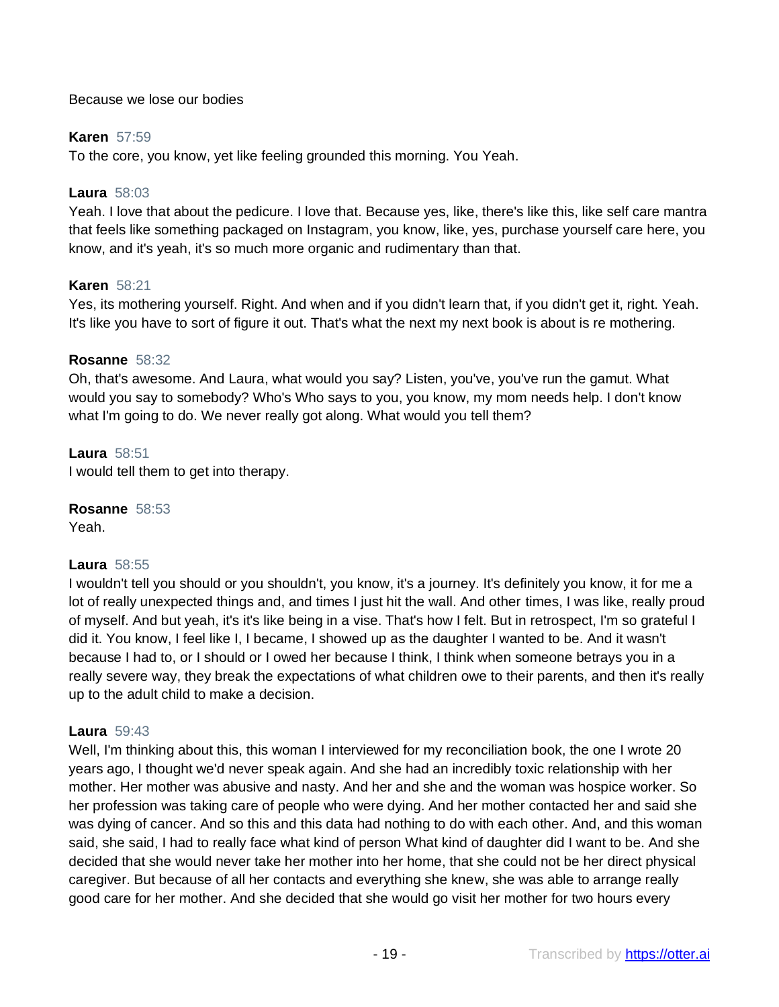## Because we lose our bodies

## **Karen** 57:59

To the core, you know, yet like feeling grounded this morning. You Yeah.

## **Laura** 58:03

Yeah. I love that about the pedicure. I love that. Because yes, like, there's like this, like self care mantra that feels like something packaged on Instagram, you know, like, yes, purchase yourself care here, you know, and it's yeah, it's so much more organic and rudimentary than that.

## **Karen** 58:21

Yes, its mothering yourself. Right. And when and if you didn't learn that, if you didn't get it, right. Yeah. It's like you have to sort of figure it out. That's what the next my next book is about is re mothering.

#### **Rosanne** 58:32

Oh, that's awesome. And Laura, what would you say? Listen, you've, you've run the gamut. What would you say to somebody? Who's Who says to you, you know, my mom needs help. I don't know what I'm going to do. We never really got along. What would you tell them?

**Laura** 58:51 I would tell them to get into therapy.

**Rosanne** 58:53 Yeah.

#### **Laura** 58:55

I wouldn't tell you should or you shouldn't, you know, it's a journey. It's definitely you know, it for me a lot of really unexpected things and, and times I just hit the wall. And other times, I was like, really proud of myself. And but yeah, it's it's like being in a vise. That's how I felt. But in retrospect, I'm so grateful I did it. You know, I feel like I, I became, I showed up as the daughter I wanted to be. And it wasn't because I had to, or I should or I owed her because I think, I think when someone betrays you in a really severe way, they break the expectations of what children owe to their parents, and then it's really up to the adult child to make a decision.

#### **Laura** 59:43

Well, I'm thinking about this, this woman I interviewed for my reconciliation book, the one I wrote 20 years ago, I thought we'd never speak again. And she had an incredibly toxic relationship with her mother. Her mother was abusive and nasty. And her and she and the woman was hospice worker. So her profession was taking care of people who were dying. And her mother contacted her and said she was dying of cancer. And so this and this data had nothing to do with each other. And, and this woman said, she said, I had to really face what kind of person What kind of daughter did I want to be. And she decided that she would never take her mother into her home, that she could not be her direct physical caregiver. But because of all her contacts and everything she knew, she was able to arrange really good care for her mother. And she decided that she would go visit her mother for two hours every